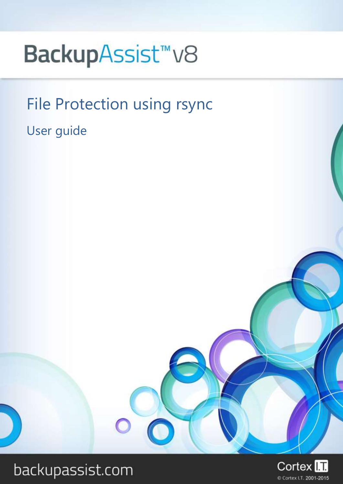# BackupAssist<sup>™</sup>V8

# File Protection using rsync

User guide



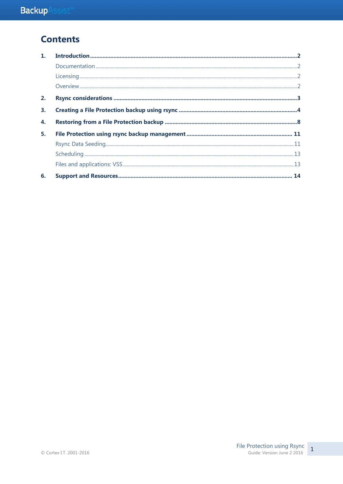# **Contents**

| 1. |  |
|----|--|
|    |  |
|    |  |
|    |  |
| 2. |  |
| 3. |  |
| 4. |  |
| 5. |  |
|    |  |
|    |  |
|    |  |
| 6. |  |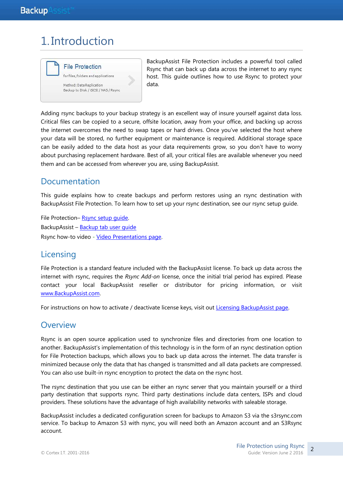# 1. Introduction



BackupAssist File Protection includes a powerful tool called Rsync that can back up data across the internet to any rsync host. This guide outlines how to use Rsync to protect your data.

Adding rsync backups to your backup strategy is an excellent way of insure yourself against data loss. Critical files can be copied to a secure, offsite location, away from your office, and backing up across the internet overcomes the need to swap tapes or hard drives. Once you've selected the host where your data will be stored, no further equipment or maintenance is required. Additional storage space can be easily added to the data host as your data requirements grow, so you don't have to worry about purchasing replacement hardware. Best of all, your critical files are available whenever you need them and can be accessed from wherever you are, using BackupAssist.

### Documentation

This guide explains how to create backups and perform restores using an rsync destination with BackupAssist File Protection. To learn how to set up your rsync destination, see our rsync setup guide.

File Protection– [Rsync setup guide.](http://www.backupassist.com/downloads/v8/file_protection_rsync_setupguide.pdf) BackupAssist – [Backup tab user guide](http://www.backupassist.com/downloads/v8/backup_tab_userguide.pdf) Rsync how-to video - Video [Presentations page.](http://www.backupassist.com/education/videos.html)

# **Licensing**

File Protection is a standard feature included with the BackupAssist license. To back up data across the internet with rsync, requires the *Rsync Add-on* license, once the initial trial period has expired. Please contact your local BackupAssist reseller or distributor for pricing information, or visit [www.BackupAssist.com.](http://www.backupassist.com/)

For instructions on how to activate / deactivate license keys, visit out [Licensing BackupAssist page.](http://www.backupassist.com/education/whitepapers/licensing_backupassist.html)

### **Overview**

Rsync is an open source application used to synchronize files and directories from one location to another. BackupAssist's implementation of this technology is in the form of an rsync destination option for File Protection backups, which allows you to back up data across the internet. The data transfer is minimized because only the data that has changed is transmitted and all data packets are compressed. You can also use built-in rsync encryption to protect the data on the rsync host.

The rsync destination that you use can be either an rsync server that you maintain yourself or a third party destination that supports rsync. Third party destinations include data centers, ISPs and cloud providers. These solutions have the advantage of high availability networks with saleable storage.

BackupAssist includes a dedicated configuration screen for backups to Amazon S3 via the s3rsync.com service. To backup to Amazon S3 with rsync, you will need both an Amazon account and an S3Rsync account.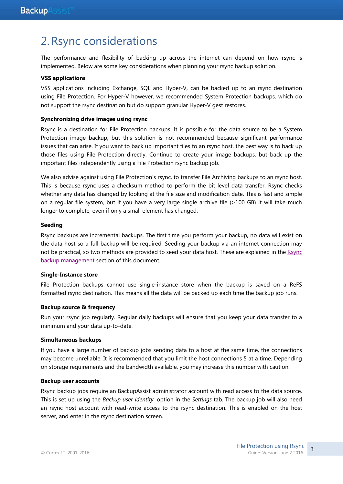# 2.Rsync considerations

The performance and flexibility of backing up across the internet can depend on how rsync is implemented. Below are some key considerations when planning your rsync backup solution.

#### **VSS applications**

VSS applications including Exchange, SQL and Hyper-V, can be backed up to an rsync destination using File Protection. For Hyper-V however, we recommended System Protection backups, which do not support the rsync destination but do support granular Hyper-V gest restores.

#### **Synchronizing drive images using rsync**

Rsync is a destination for File Protection backups. It is possible for the data source to be a System Protection image backup, but this solution is not recommended because significant performance issues that can arise. If you want to back up important files to an rsync host, the best way is to back up those files using File Protection directly. Continue to create your image backups, but back up the important files independently using a File Protection rsync backup job.

We also advise against using File Protection's rsync, to transfer File Archiving backups to an rsync host. This is because rsync uses a checksum method to perform the bit level data transfer. Rsync checks whether any data has changed by looking at the file size and modification date. This is fast and simple on a regular file system, but if you have a very large single archive file (>100 GB) it will take much longer to complete, even if only a small element has changed.

#### **Seeding**

Rsync backups are incremental backups. The first time you perform your backup, no data will exist on the data host so a full backup will be required. Seeding your backup via an internet connection may not be practical, so two methods are provided to seed your data host. These are explained in the [Rsync](#page-11-0)  [backup management](#page-11-0) section of this document.

#### **Single-Instance store**

File Protection backups cannot use single-instance store when the backup is saved on a ReFS formatted rsync destination. This means all the data will be backed up each time the backup job runs.

#### **Backup source & frequency**

Run your rsync job regularly. Regular daily backups will ensure that you keep your data transfer to a minimum and your data up-to-date.

#### **Simultaneous backups**

If you have a large number of backup jobs sending data to a host at the same time, the connections may become unreliable. It is recommended that you limit the host connections 5 at a time. Depending on storage requirements and the bandwidth available, you may increase this number with caution.

#### **Backup user accounts**

Rsync backup jobs require an BackupAssist administrator account with read access to the data source. This is set up using the *Backup user identity*, option in the *Settings* tab. The backup job will also need an rsync host account with read-write access to the rsync destination. This is enabled on the host server, and enter in the rsync destination screen.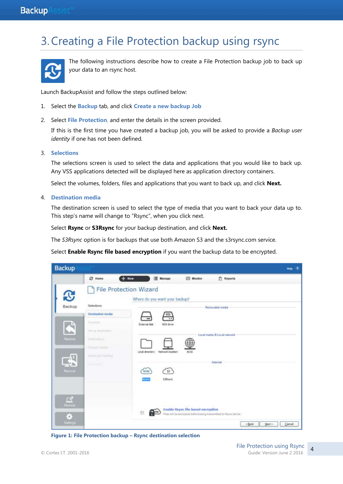# 3.Creating a File Protection backup using rsync



The following instructions describe how to create a File Protection backup job to back up your data to an rsync host.

Launch BackupAssist and follow the steps outlined below:

- 1. Select the **Backup** tab, and click **Create a new backup Job**
- 2. Select **File Protection**, and enter the details in the screen provided.

If this is the first time you have created a backup job, you will be asked to provide a *Backup user identity* if one has not been defined.

3. **Selections**

The selections screen is used to select the data and applications that you would like to back up. Any VSS applications detected will be displayed here as application directory containers.

Select the volumes, folders, files and applications that you want to back up, and click **Next.**

#### 4. **Destination media**

The destination screen is used to select the type of media that you want to back your data up to. This step's name will change to "Rsync", when you click next.

Select **Rsync** or **S3Rsync** for your backup destination, and click **Next.**

The *S3Rsync* option is for backups that use both Amazon S3 and the s3rsync.com service.

Select **Enable Rsync file based encryption** if you want the backup data to be encrypted.

| <b>Backup</b>       |                                                                                                                                      | ಾ<br>Hirtp. |
|---------------------|--------------------------------------------------------------------------------------------------------------------------------------|-------------|
|                     | Manage<br><b>© Home</b><br>$+$ New<br>ES Monitor<br><b>Reports</b>                                                                   |             |
|                     | <b>File Protection Wizard</b><br>Where do you want your backup?                                                                      |             |
| Backup              | Selections<br>Removable media<br>Destination media<br>RDX                                                                            |             |
|                     | $\overline{\phantom{a}}$<br>Smedia<br>ROX drive<br>External disk<br>m<br>3H III BUTCHES                                              |             |
| <b>Flashbird</b>    | Local media & Local network<br>Strategic and products.                                                                               |             |
|                     | Prepare madia-<br>Local directory<br>Nebuotk location<br>6031<br>Forme prombetties                                                   |             |
| Ricover             | Internet<br><b>Band Amer</b><br>C 53<br><b>ISFK</b>                                                                                  |             |
|                     | ism<br>53Rsync                                                                                                                       |             |
| $\mathbb{Z}$        |                                                                                                                                      |             |
| <b>Remote</b><br>Ġ, | SATE ANNUAL PROPERTY<br>Enable Rsync file based encryption<br>面<br>Files will be encrypted before being transmitted to Reync Server. |             |
| Settings            | <book<br>Next &gt;</book<br>                                                                                                         | Cancel.     |

**Figure 1: File Protection backup – Rsync destination selection**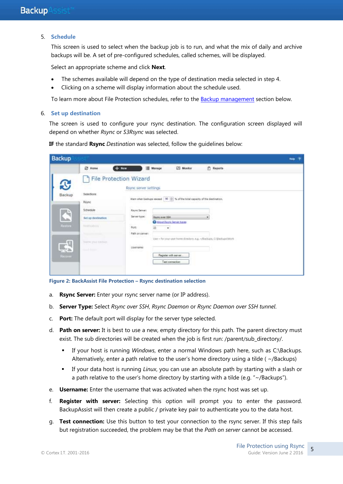#### 5. **Schedule**

This screen is used to select when the backup job is to run, and what the mix of daily and archive backups will be. A set of pre-configured schedules, called schemes, will be displayed.

Select an appropriate scheme and click **Next**.

- The schemes available will depend on the type of destination media selected in step 4.
- Clicking on a scheme will display information about the schedule used.

To learn more about File Protection schedules, refer to the [Backup management](#page-13-0) section below.

#### 6. **Set up destination**

The screen is used to configure your rsync destination. The configuration screen displayed will depend on whether *Rsync* or *S3Rsync* was selected.

**IF** the standard **Rsync** *Destination* was selected, follow the guidelines below:

| Backup |                 |                                          |                                                        |                                     |                                                                                                                                       |   |                | - 19<br>Halp: |
|--------|-----------------|------------------------------------------|--------------------------------------------------------|-------------------------------------|---------------------------------------------------------------------------------------------------------------------------------------|---|----------------|---------------|
|        |                 | ② Home                                   | $+$ New                                                | Manage                              | Monitor                                                                                                                               |   | <b>Reports</b> |               |
|        | <b>B</b>        |                                          | <b>File Protection Wizard</b><br>Rsync server settings |                                     |                                                                                                                                       |   |                |               |
|        | Backup          | Selections<br>Royne                      |                                                        |                                     | Wern when backups exceed $\left[ \begin{array}{cc} 90 & \frac{1}{10} \end{array} \right]$ % of the total capacity of the destination, |   |                |               |
|        |                 | Schedule                                 | Rayne Server:                                          |                                     |                                                                                                                                       |   |                |               |
|        | $\blacklozenge$ | <b>Set up destination</b>                | Server type:                                           | Royne aver 55H                      |                                                                                                                                       | ٠ |                |               |
|        | <b>Restore</b>  | Nickelsbirg                              | Part<br>Path on server:                                | About Raync Server types<br>22<br>٠ |                                                                                                                                       |   |                |               |
|        | $\mathbb{R}^3$  | NAME YOU CONTROL<br><b>South Francis</b> | Usemanie:                                              |                                     | Use - for your user home directory, e.g. - Hackips, CIBackups (Work                                                                   |   |                |               |
|        | Recover         |                                          | 22 53 42                                               | Register with server.               | Test connection                                                                                                                       |   |                |               |

**Figure 2: BackAssist File Protection – Rsync destination selection**

- a. **Rsync Server:** Enter your rsync server name (or IP address).
- b. **Server Type:** Select *Rsync over SSH*, *Rsync Daemon* or *Rsync Daemon over SSH tunnel*.
- c. **Port:** The default port will display for the server type selected.
- d. **Path on server:** It is best to use a new, empty directory for this path. The parent directory must exist. The sub directories will be created when the job is first run: /parent/sub\_directory/.
	- If your host is running *Windows*, enter a normal Windows path here, such as C:\Backups. Alternatively, enter a path relative to the user's home directory using a tilde ( ~/Backups)
	- If your data host is running *Linux*, you can use an absolute path by starting with a slash or a path relative to the user's home directory by starting with a tilde (e.g. "~/Backups").
- e. **Username:** Enter the username that was activated when the rsync host was set up.
- f. **Register with server:** Selecting this option will prompt you to enter the password. BackupAssist will then create a public / private key pair to authenticate you to the data host.
- g. **Test connection:** Use this button to test your connection to the rsync server. If this step fails but registration succeeded, the problem may be that the *Path on server* cannot be accessed.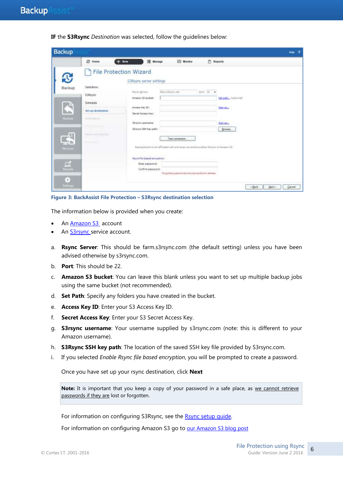**IF** the **S3Rsync** *Destination* was selected, follow the guidelines below:

| <b>Backup</b>                                                |                                                                                                     |                                                                                                   |                                                                                                                                                             |                                                                        | $\overline{\mathcal{R}}$<br>Help |
|--------------------------------------------------------------|-----------------------------------------------------------------------------------------------------|---------------------------------------------------------------------------------------------------|-------------------------------------------------------------------------------------------------------------------------------------------------------------|------------------------------------------------------------------------|----------------------------------|
|                                                              | E Home                                                                                              | $+$ New<br>Manager                                                                                | <b>IN</b> Monitor                                                                                                                                           | <b>F</b> Reports                                                       |                                  |
| <b>S</b>                                                     |                                                                                                     | <b>File Protection Wizard</b><br>S3Rsync server settings                                          |                                                                                                                                                             |                                                                        |                                  |
| Backup<br>$\blacklozenge$<br>Halfoca                         | Selections<br>53Remo<br>Schedule<br>Set up destination<br><b>National Avenue</b><br>Phillips and L. | Royal Servers<br>Amazon 53 bucket:<br>Accuss Key ID:<br>Secret Access Key:<br>Särziync usernarie: | hm shure on                                                                                                                                                 | Butt 22 +<br>Set path (buttons)<br>Sign ap <sub>ro-</sub><br>Satisfied |                                  |
| $\mathbb{R}$<br><b>Heckin</b><br>$\Box$<br><b>Rench</b><br>ö | Point for you'll fourteen<br><b>South America</b>                                                   | S3rayns SSH key path:<br>Rayne file based encryption:<br>Eiter password:<br>Confirm password      | Test connection:<br>BedrupAssist is not affiliated with end does not endorse either Singrei in Amezon SS.<br>Forgotten passwords are importible to retrain. | <b>Browse</b>                                                          |                                  |

**Figure 3: BackAssist File Protection – S3Rsync destination selection**

The information below is provided when you create:

- An [Amazon S3](http://aws.amazon.com/s3/) account
- An **S3rsync** service account.
- a. **Rsync Server**: This should be farm.s3rsync.com (the default setting) unless you have been advised otherwise by s3rsync.com.
- b. **Port**: This should be 22.
- c. **Amazon S3 bucket**: You can leave this blank unless you want to set up multiple backup jobs using the same bucket (not recommended).
- d. **Set Path**: Specify any folders you have created in the bucket.
- e. **Access Key ID**: Enter your S3 Access Key ID.
- f. **Secret Access Key**: Enter your S3 Secret Access Key.
- g. **S3rsync username**: Your username supplied by s3rsync.com (note: this is different to your Amazon username).
- h. **S3Rsync SSH key path**: The location of the saved SSH key file provided by S3rsync.com.
- i. If you selected *Enable Rsync file based encryption*, you will be prompted to create a password.

Once you have set up your rsync destination, click **Next**

Note: It is important that you keep a copy of your password in a safe place, as we cannot retrieve passwords if they are lost or forgotten.

For information on configuring S3Rsync, see the Rsync setup quide.

For information on configuring Amazon S3 go to [our Amazon S3 blog post](http://www.backupassist.com/blog/support/using-backupassist-for-rsync-with-amazon-s3/)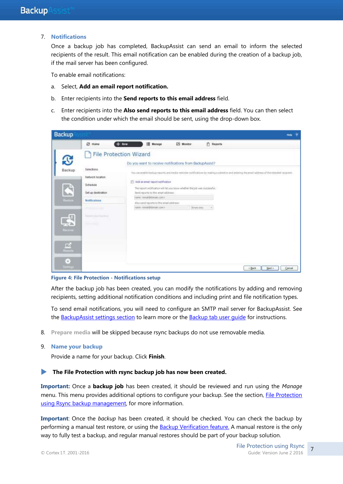#### 7. **Notifications**

Once a backup job has completed, BackupAssist can send an email to inform the selected recipients of the result. This email notification can be enabled during the creation of a backup job, if the mail server has been configured.

To enable email notifications:

- a. Select, **Add an email report notification.**
- b. Enter recipients into the **Send reports to this email address** field.
- c. Enter recipients into the **Also send reports to this email address** field. You can then select the condition under which the email should be sent, using the drop-down box.

| Backup                                                        |                                                                                                                                                   |                               |                                                                                                                                                                             |                                                                                           |                  | Hotel                                                                                                                                         |
|---------------------------------------------------------------|---------------------------------------------------------------------------------------------------------------------------------------------------|-------------------------------|-----------------------------------------------------------------------------------------------------------------------------------------------------------------------------|-------------------------------------------------------------------------------------------|------------------|-----------------------------------------------------------------------------------------------------------------------------------------------|
|                                                               | <b>四 Home</b>                                                                                                                                     | $+$ New                       | Manage<br>圖                                                                                                                                                                 | Monstor                                                                                   | <b>F</b> Reports |                                                                                                                                               |
| S                                                             |                                                                                                                                                   | <b>File Protection Wizard</b> |                                                                                                                                                                             | Do you want to receive notifications from BadoupAssist?                                   |                  |                                                                                                                                               |
| Backup<br>Radon<br>$\mathbf{A}$<br>Яесаны<br>$\Box$<br>Remite | Selections.<br>Network location<br>Schedule<br>Set up destruction<br>Notifications.<br>Produktionalist<br>Nates can barbar<br><b>September 20</b> |                               | El Add an email report notification<br>Sand reports to this entelled these:<br>nave remaindationals.com in<br>Also send reports to this amal address:<br>coccoold interview | The report notification will let you know whether the job was successful.<br>Ettera ority | ×                | You can enable backup reports and media remixder notifications by making a selection and entering the email address of the intended recovert. |
| 8<br><b>ATTENUE</b>                                           |                                                                                                                                                   |                               |                                                                                                                                                                             |                                                                                           |                  | Next ><br>$=$ Back<br>Cancel                                                                                                                  |

#### **Figure 4: File Protection - Notifications setup**

After the backup job has been created, you can modify the notifications by adding and removing recipients, setting additional notification conditions and including print and file notification types.

To send email notifications, you will need to configure an SMTP mail server for BackupAssist. See the BackupAssist settings section to learn more or the Backup tab user quide for instructions.

- 8. **Prepare media** will be skipped because rsync backups do not use removable media.
- 9. **Name your backup**

Provide a name for your backup. Click **Finish**.

#### **The File Protection with rsync backup job has now been created.**

**Important:** Once a **backup job** has been created, it should be reviewed and run using the *Manage* menu. This menu provides additional options to configure your backup. See the section, [File Protection](#page-11-1)  [using Rsync backup management,](#page-11-1) for more information.

**Important**: Once the *backup* has been created, it should be checked. You can check the backup by performing a manual test restore, or using the **Backup Verification feature.** A manual restore is the only way to fully test a backup, and regular manual restores should be part of your backup solution.

7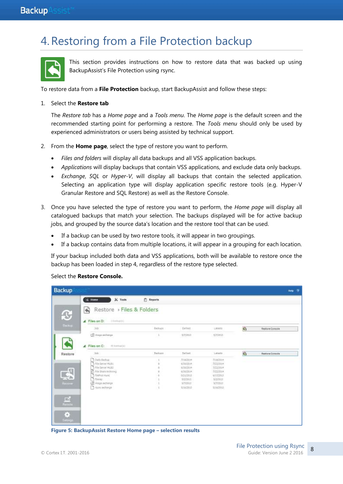# 4.Restoring from a File Protection backup



This section provides instructions on how to restore data that was backed up using BackupAssist's File Protection using rsync.

To restore data from a **File Protection** backup, start BackupAssist and follow these steps:

#### 1. Select the **Restore tab**

The *Restore tab* has a *Home page* and a *Tools menu*. The *Home page* is the default screen and the recommended starting point for performing a restore. The *Tools menu* should only be used by experienced administrators or users being assisted by technical support.

- 2. From the **Home page**, select the type of restore you want to perform.
	- *Files and folders* will display all data backups and all VSS application backups.
	- *Applications* will display backups that contain VSS applications, and exclude data only backups.
	- *Exchange*, *SQL* or *Hyper-V*, will display all backups that contain the selected application. Selecting an application type will display application specific restore tools (e.g. Hyper-V Granular Restore and SQL Restore) as well as the Restore Console.
- 3. Once you have selected the type of restore you want to perform, the *Home page* will display all catalogued backups that match your selection. The backups displayed will be for active backup jobs, and grouped by the source data's location and the restore tool that can be used.
	- If a backup can be used by two restore tools, it will appear in two groupings.
	- If a backup contains data from multiple locations, it will appear in a grouping for each location.

If your backup included both data and VSS applications, both will be available to restore once the backup has been loaded in step 4, regardless of the restore type selected.

#### Select the **Restore Console.**

| <b>Backup</b>            |                                              |                  |                     |                   |              | Help ?          |
|--------------------------|----------------------------------------------|------------------|---------------------|-------------------|--------------|-----------------|
|                          | $K$ Tools<br><b>E</b> Home                   | <b>P</b> Reports |                     |                   |              |                 |
| $\mathbf{\mathfrak{S}}$  | Restore > Files & Folders<br>$\blacklozenge$ |                  |                     |                   |              |                 |
|                          | $\blacktriangle$ Files on D:<br>11100000     |                  |                     |                   |              |                 |
| Beckup                   | 3ob                                          | <b>Badups</b>    | Earliest            | LEMIS             | O.           | Restore Console |
|                          | d) inspecifienpo                             |                  | \$72913             | 1/7/2013<br>www   |              |                 |
|                          |                                              |                  |                     |                   |              |                 |
|                          | <b>Files</b> on C:<br>41 International<br>◢  |                  |                     |                   |              |                 |
| Restore                  | Ish-                                         | Backram          | <b>Sirtiset</b>     | Latista           | $\mathbf{e}$ | Restore Console |
|                          | To ele Badour                                |                  | 7/18/2019           | 7/18/2014         |              |                 |
|                          | THE SHOW MUST.                               |                  | 6/35/2014           | 7/23/201+         |              |                 |
|                          | TRIESING HLB3                                |                  | A705/2014           | 72220114          |              |                 |
|                          | File Stare Archiving<br>n                    |                  | 4/20/2019           | 3/23/2014         |              |                 |
| $\overline{\mathcal{A}}$ | <b>Selection</b><br><b>Tileins</b>           |                  | 5/21/2013           | WIW2013           |              |                 |
|                          |                                              |                  | 5/3/2015<br>57/2317 | 3/2/2813<br>WOODS |              |                 |
| <b>MESSINE</b>           | LE maps extrage.                             |                  |                     |                   |              |                 |
|                          | Type echange                                 |                  | WINSHIP             | IMAG013           |              |                 |
|                          |                                              |                  |                     |                   |              |                 |
| $\Box$                   |                                              |                  |                     |                   |              |                 |
| Remote                   |                                              |                  |                     |                   |              |                 |
|                          |                                              |                  |                     |                   |              |                 |
| ä                        |                                              |                  |                     |                   |              |                 |
| Settings                 |                                              |                  |                     |                   |              |                 |
|                          |                                              |                  |                     |                   |              |                 |

**Figure 5: BackupAssist Restore Home page – selection results**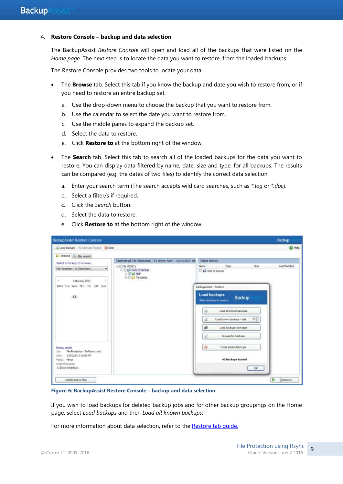#### 4. **Restore Console – backup and data selection**

The BackupAssist *Restore Console* will open and load all of the backups that were listed on the *Home page*. The next step is to locate the data you want to restore, from the loaded backups.

The Restore Console provides two tools to locate your data:

- The **Browse** tab. Select this tab if you know the backup and date you wish to restore from, or if you need to restore an entire backup set.
	- a. Use the drop-down menu to choose the backup that you want to restore from.
	- b. Use the calendar to select the date you want to restore from.
	- c. Use the middle panes to expand the backup set.
	- d. Select the data to restore.
	- e. Click **Restore to** at the bottom right of the window.
- The **Search** tab. Select this tab to search all of the loaded backups for the data you want to restore. You can display data filtered by name, date, size and type, for all backups. The results can be compared (e.g. the dates of two files) to identify the correct data selection.
	- a. Enter your search term (The search accepts wild card searches, such as *\*.log* or *\*.doc*).
	- b. Select a filter/s if required.
	- c. Click the *Search* button.
	- d. Select the data to restore.
	- e. Click **Restore to** at the bottom right of the window.

| Cload backups 42 backups hinded 30 Clear                       |                                                                                          |                                                            |               |
|----------------------------------------------------------------|------------------------------------------------------------------------------------------|------------------------------------------------------------|---------------|
|                                                                |                                                                                          |                                                            | <b>O</b> Halp |
| Browse L. Rie search                                           |                                                                                          |                                                            |               |
| Select a backup to browse:                                     | Contents of File Protection - To Raync host - 13/02/2013 10:                             | Folder details                                             |               |
| Mie Protection - To Reynchost<br>۰                             | 日 20 20 Q H<br><b>E- E- Dete to backup</b><br>$\frac{1}{2}$ of PDF.<br>il-File Templates | Saw <sub>1</sub><br>Name:<br>Type<br>Data to backup        | Last Modified |
| February 2013<br>s.<br>$\alpha$<br>Mon Tue Wed Thu Fri Sat Sun |                                                                                          | BackupAssist - Restore                                     |               |
| 13                                                             |                                                                                          | <b>Load backups</b><br>Backup<br>Select backgra to restore |               |
|                                                                |                                                                                          | Load all known backups<br>ü                                |               |
|                                                                |                                                                                          | $3 +$<br>Load known backups - last<br>u                    |               |
|                                                                |                                                                                          | i0<br>Load backups from tape                               |               |
|                                                                |                                                                                          | 湓<br><b>Browse for backups</b>                             |               |
| <b>Backup details</b><br>File Protection - To Reync host<br>1m |                                                                                          | $^{\circ}$<br>Clear loaded backups                         |               |
| Date: 13/02/2013 10:00 PM<br>Media: Mirror                     |                                                                                          | 42 hackage loaded                                          |               |
| Original locatture<br>C: Data to backup)                       |                                                                                          | OK:                                                        |               |

**Figure 6: BackupAssist Restore Console – backup and data selection**

If you wish to load backups for deleted backup jobs and for other backup groupings on the Home page, select *Load backups* and then *Load all known backups*.

For more information about data selection, refer to the Restore tab quide.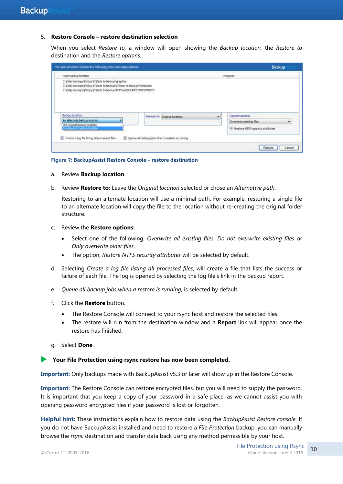#### 5. **Restore Console – restore destination selection**

When you select *Restore to,* a window will open showing the *Backup location,* the *Restore to* destination and the *Restore options*.

| From backup location.<br>commercial contracts and the                                                                                                                                          |  |                                                 | <b>Progress</b> |                                    |
|------------------------------------------------------------------------------------------------------------------------------------------------------------------------------------------------|--|-------------------------------------------------|-----------------|------------------------------------|
| C: Daily backups Friday /C Data to backup graphics<br>C:\Daily backups\/hiday\C\Data to backup\C\Data to backup\Templates<br>C:\Dally backups\Priday\C\Data to backup\PDF\pld\SDURCE DOCUMENTS |  |                                                 |                 |                                    |
| Backup locators:                                                                                                                                                                               |  | Restore to: Criginal locations                  | ٠               | Restore options:                   |
| An alternate backup location<br>The original badsup location                                                                                                                                   |  |                                                 |                 | ۷<br>Overvrite existing files.     |
|                                                                                                                                                                                                |  |                                                 |                 | V Restore NTFS security attributes |
| An alternate backup location.<br>Create a log file listing all processed files                                                                                                                 |  | Queue all backup jobs when a restore is running |                 |                                    |

**Figure 7: BackupAssist Restore Console – restore destination**

- a. Review **Backup location**.
- b. Review **Restore to:** Leave the *Original location* selected or chose an *Alternative path*.

Restoring to an alternate location will use a minimal path. For example, restoring a single file to an alternate location will copy the file to the location without re-creating the original folder structure.

- c. Review the **Restore options:**
	- Select one of the following: *Overwrite all existing files*, *Do not overwrite existing files* or *Only overwrite older files*.
	- The option, *Restore NTFS security attributes* will be selected by default.
- d. Selecting *Create a log file listing all processed files*, will create a file that lists the success or failure of each file. The log is opened by selecting the log file's link in the backup report.
- e. *Queue all backup jobs when a restore is running*, is selected by default.
- f. Click the **Restore** button.
	- The Restore Console will connect to your rsync host and restore the selected files.
	- The restore will run from the destination window and a **Report** link will appear once the restore has finished.
- g. Select **Done**.

#### **Your File Protection using rsync restore has now been completed.**

**Important:** Only backups made with BackupAssist v5.3 or later will show up in the Restore Console.

**Important:** The Restore Console can restore encrypted files, but you will need to supply the password. It is important that you keep a copy of your password in a safe place, as we cannot assist you with opening password encrypted files if your password is lost or forgotten.

**Helpful hint:** These instructions explain how to restore data using the *BackupAssist Restore console*. If you do not have BackupAssist installed and need to restore a *File Protection* backup, you can manually browse the *rsync* destination and transfer data back using any method permissible by your host.

10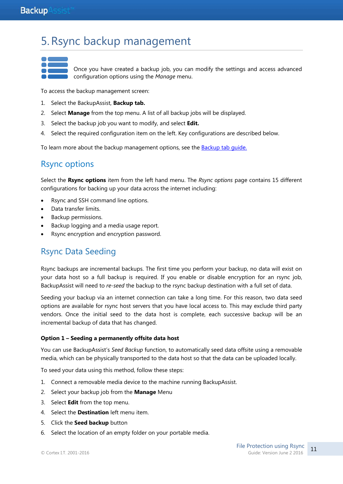# <span id="page-11-1"></span>5.Rsync backup management

Once you have created a backup job, you can modify the settings and access advanced configuration options using the *Manage* menu.

To access the backup management screen:

- 1. Select the BackupAssist, **Backup tab.**
- 2. Select **Manage** from the top menu. A list of all backup jobs will be displayed.
- 3. Select the backup job you want to modify, and select **Edit.**
- 4. Select the required configuration item on the left. Key configurations are described below.

To learn more about the backup management options, see the [Backup tab guide.](http://www.backupassist.com/education/v8/whitepapers/backup_whitepaper.html)

### Rsync options

Select the **Rsync options** item from the left hand menu. The *Rsync options* page contains 15 different configurations for backing up your data across the internet including:

- Rsync and SSH command line options.
- Data transfer limits.
- Backup permissions.
- Backup logging and a media usage report.
- Rsync encryption and encryption password.

### <span id="page-11-0"></span>Rsync Data Seeding

Rsync backups are incremental backups. The first time you perform your backup, no data will exist on your data host so a full backup is required. If you enable or disable encryption for an rsync job, BackupAssist will need to *re-seed* the backup to the rsync backup destination with a full set of data.

Seeding your backup via an internet connection can take a long time. For this reason, two data seed options are available for rsync host servers that you have local access to. This may exclude third party vendors. Once the initial seed to the data host is complete, each successive backup will be an incremental backup of data that has changed.

#### **Option 1 – Seeding a permanently offsite data host**

You can use BackupAssist's *Seed Backup* function, to automatically seed data offsite using a removable media, which can be physically transported to the data host so that the data can be uploaded locally.

To seed your data using this method, follow these steps:

- 1. Connect a removable media device to the machine running BackupAssist.
- 2. Select your backup job from the **Manage** Menu
- 3. Select **Edit** from the top menu.
- 4. Select the **Destination** left menu item.
- 5. Click the **Seed backup** button
- 6. Select the location of an empty folder on your portable media.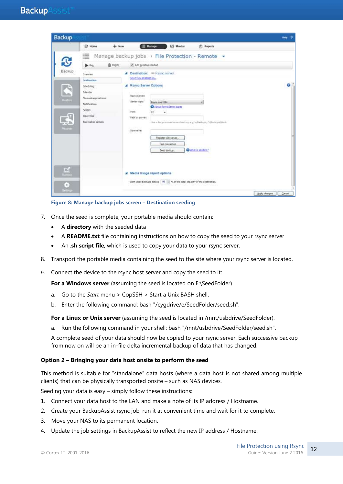

**Figure 8: Manage backup jobs screen – Destination seeding**

- 7. Once the seed is complete, your portable media should contain:
	- A **directory** with the seeded data
	- A **README.txt** file containing instructions on how to copy the seed to your rsync server
	- An .**sh script file**, which is used to copy your data to your rsync server.
- 8. Transport the portable media containing the seed to the site where your rsync server is located.
- 9. Connect the device to the rsync host server and copy the seed to it:

For a Windows server (assuming the seed is located on E:\SeedFolder)

- a. Go to the *Start* menu > CopSSH > Start a Unix BASH shell.
- b. Enter the following command: bash "/cygdrive/e/SeedFolder/seed.sh".

**For a Linux or Unix server** (assuming the seed is located in /mnt/usbdrive/SeedFolder).

a. Run the following command in your shell: bash "/mnt/usbdrive/SeedFolder/seed.sh".

A complete seed of your data should now be copied to your rsync server. Each successive backup from now on will be an in-file delta incremental backup of data that has changed.

#### **Option 2 – Bringing your data host onsite to perform the seed**

This method is suitable for "standalone" data hosts (where a data host is not shared among multiple clients) that can be physically transported onsite – such as NAS devices.

Seeding your data is easy – simply follow these instructions:

- 1. Connect your data host to the LAN and make a note of its IP address / Hostname.
- 2. Create your BackupAssist rsync job, run it at convenient time and wait for it to complete.
- 3. Move your NAS to its permanent location.
- 4. Update the job settings in BackupAssist to reflect the new IP address / Hostname.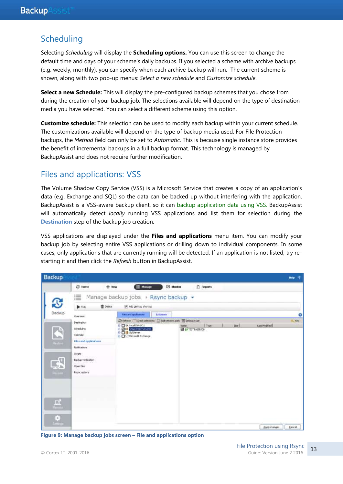### <span id="page-13-0"></span>**Scheduling**

Selecting *Scheduling* will display the **Scheduling options.** You can use this screen to change the default time and days of your scheme's daily backups. If you selected a scheme with archive backups (e.g. weekly, monthly), you can specify when each archive backup will run. The current scheme is shown, along with two pop-up menus: *Select a new schedule* and *Customize schedule*.

**Select a new Schedule:** This will display the pre-configured backup schemes that you chose from during the creation of your backup job. The selections available will depend on the type of destination media you have selected. You can select a different scheme using this option.

**Customize schedule:** This selection can be used to modify each backup within your current schedule. The customizations available will depend on the type of backup media used. For File Protection backups, the *Method* field can only be set to *Automatic*. This is because single instance store provides the benefit of incremental backups in a full backup format. This technology is managed by BackupAssist and does not require further modification.

# Files and applications: VSS

The Volume Shadow Copy Service (VSS) is a Microsoft Service that creates a copy of an application's data (e.g. Exchange and SQL) so the data can be backed up without interfering with the application. BackupAssist is a VSS-aware backup client, so it can backup application data using VSS. BackupAssist will automatically detect *locally* running VSS applications and list them for selection during the **Destination** step of the backup job creation.

VSS applications are displayed under the **Files and applications** menu item. You can modify your backup job by selecting entire VSS applications or drilling down to individual components. In some cases, only applications that are currently running will be detected. If an application is not listed, try restarting it and then click the *Refresh* button in BackupAssist.



**Figure 9: Manage backup jobs screen – File and applications option**